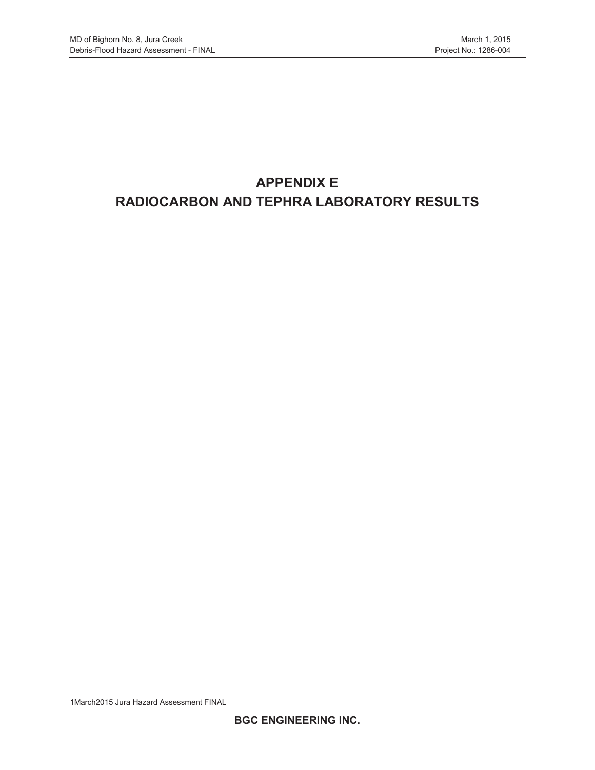# **APPENDIX E RADIOCARBON AND TEPHRA LABORATORY RESULTS**

1March2015 Jura Hazard Assessment FINAL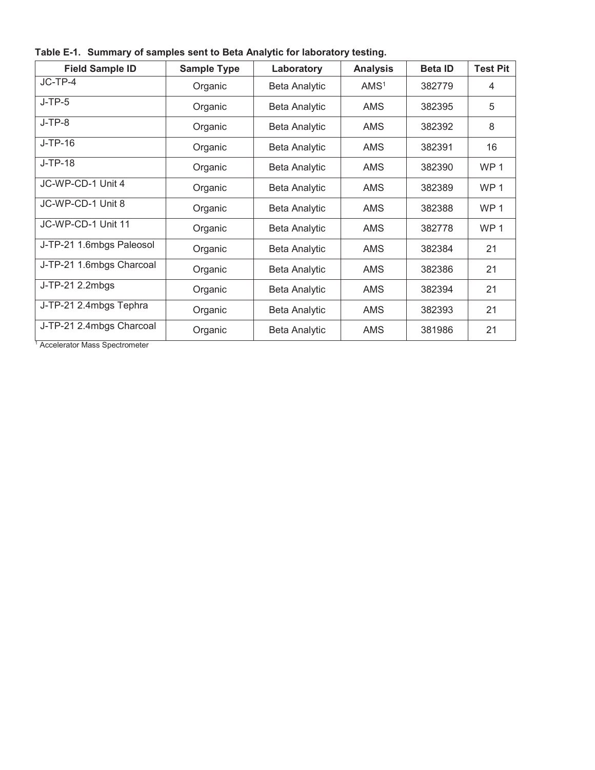|  |  |  |  |  | Table E-1. Summary of samples sent to Beta Analytic for laboratory testing. |
|--|--|--|--|--|-----------------------------------------------------------------------------|
|--|--|--|--|--|-----------------------------------------------------------------------------|

| <b>Field Sample ID</b>   | <b>Sample Type</b> | Laboratory           | <b>Analysis</b>  | <b>Beta ID</b> | <b>Test Pit</b> |
|--------------------------|--------------------|----------------------|------------------|----------------|-----------------|
| $JC-TP-4$                | Organic            | <b>Beta Analytic</b> | AMS <sup>1</sup> | 382779         | 4               |
| $J-TP-5$                 | Organic            | <b>Beta Analytic</b> | <b>AMS</b>       | 382395         | 5               |
| $J-TP-8$                 | Organic            | <b>Beta Analytic</b> | <b>AMS</b>       | 382392         | 8               |
| $J-TP-16$                | Organic            | <b>Beta Analytic</b> | <b>AMS</b>       | 382391         | 16              |
| J-TP-18                  | Organic            | <b>Beta Analytic</b> | <b>AMS</b>       | 382390         | WP <sub>1</sub> |
| JC-WP-CD-1 Unit 4        | Organic            | <b>Beta Analytic</b> | <b>AMS</b>       | 382389         | WP <sub>1</sub> |
| JC-WP-CD-1 Unit 8        | Organic            | <b>Beta Analytic</b> | <b>AMS</b>       | 382388         | WP <sub>1</sub> |
| JC-WP-CD-1 Unit 11       | Organic            | <b>Beta Analytic</b> | <b>AMS</b>       | 382778         | WP <sub>1</sub> |
| J-TP-21 1.6mbgs Paleosol | Organic            | <b>Beta Analytic</b> | <b>AMS</b>       | 382384         | 21              |
| J-TP-21 1.6mbgs Charcoal | Organic            | <b>Beta Analytic</b> | <b>AMS</b>       | 382386         | 21              |
| J-TP-21 2.2mbgs          | Organic            | <b>Beta Analytic</b> | <b>AMS</b>       | 382394         | 21              |
| J-TP-21 2.4mbgs Tephra   | Organic            | <b>Beta Analytic</b> | <b>AMS</b>       | 382393         | 21              |
| J-TP-21 2.4mbgs Charcoal | Organic            | <b>Beta Analytic</b> | <b>AMS</b>       | 381986         | 21              |

1 Accelerator Mass Spectrometer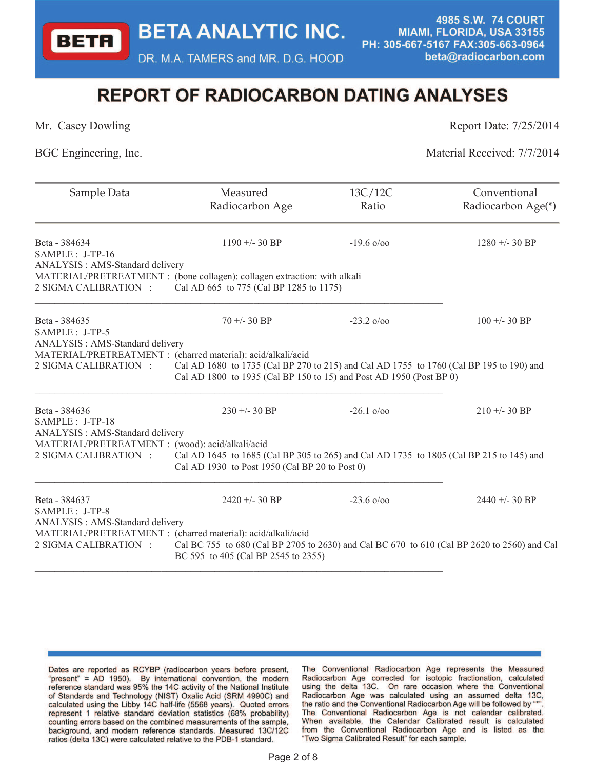DR. M.A. TAMERS and MR. D.G. HOOD

4985 S.W. 74 COURT MIAMI, FLORIDA, USA 33155 PH: 305-667-5167 FAX:305-663-0964 beta@radiocarbon.com

# **REPORT OF RADIOCARBON DATING ANALYSES**

**BETA** 

Mr. Casey Dowling Report Date:  $7/25/2014$ 

BGC Engineering, Inc. Material Received:  $7/7/2014$ 

| Measured        | 13C/12C                                                                                                                                                                                                                                                                                                                                          | Conventional                                                                                                                                                                                                                                                                                                                                                                                                                                                                                                                                                                       |
|-----------------|--------------------------------------------------------------------------------------------------------------------------------------------------------------------------------------------------------------------------------------------------------------------------------------------------------------------------------------------------|------------------------------------------------------------------------------------------------------------------------------------------------------------------------------------------------------------------------------------------------------------------------------------------------------------------------------------------------------------------------------------------------------------------------------------------------------------------------------------------------------------------------------------------------------------------------------------|
|                 |                                                                                                                                                                                                                                                                                                                                                  | Radiocarbon Age(*)                                                                                                                                                                                                                                                                                                                                                                                                                                                                                                                                                                 |
| $1190 + -30 BP$ | $-19.6 \frac{\omega}{200}$                                                                                                                                                                                                                                                                                                                       | $1280 + -30$ BP                                                                                                                                                                                                                                                                                                                                                                                                                                                                                                                                                                    |
|                 |                                                                                                                                                                                                                                                                                                                                                  |                                                                                                                                                                                                                                                                                                                                                                                                                                                                                                                                                                                    |
| $70 + -30$ BP   | $-23.2 \frac{\pi}{900}$                                                                                                                                                                                                                                                                                                                          | $100 + (-30)$ BP                                                                                                                                                                                                                                                                                                                                                                                                                                                                                                                                                                   |
|                 |                                                                                                                                                                                                                                                                                                                                                  |                                                                                                                                                                                                                                                                                                                                                                                                                                                                                                                                                                                    |
|                 |                                                                                                                                                                                                                                                                                                                                                  |                                                                                                                                                                                                                                                                                                                                                                                                                                                                                                                                                                                    |
|                 |                                                                                                                                                                                                                                                                                                                                                  |                                                                                                                                                                                                                                                                                                                                                                                                                                                                                                                                                                                    |
| $230 + 30$ BP   | $-26.1 \frac{\omega}{\omega}$                                                                                                                                                                                                                                                                                                                    | $210 + -30$ BP                                                                                                                                                                                                                                                                                                                                                                                                                                                                                                                                                                     |
|                 |                                                                                                                                                                                                                                                                                                                                                  |                                                                                                                                                                                                                                                                                                                                                                                                                                                                                                                                                                                    |
|                 |                                                                                                                                                                                                                                                                                                                                                  |                                                                                                                                                                                                                                                                                                                                                                                                                                                                                                                                                                                    |
| $2420 + -30 BP$ | $-23.6 \frac{0}{00}$                                                                                                                                                                                                                                                                                                                             | $2440 + -30$ BP                                                                                                                                                                                                                                                                                                                                                                                                                                                                                                                                                                    |
|                 |                                                                                                                                                                                                                                                                                                                                                  |                                                                                                                                                                                                                                                                                                                                                                                                                                                                                                                                                                                    |
|                 |                                                                                                                                                                                                                                                                                                                                                  |                                                                                                                                                                                                                                                                                                                                                                                                                                                                                                                                                                                    |
|                 | Radiocarbon Age<br>ANALYSIS: AMS-Standard delivery<br>ANALYSIS: AMS-Standard delivery<br>MATERIAL/PRETREATMENT : (charred material): acid/alkali/acid<br>ANALYSIS : AMS-Standard delivery<br>MATERIAL/PRETREATMENT : (wood): acid/alkali/acid<br>ANALYSIS: AMS-Standard delivery<br>MATERIAL/PRETREATMENT : (charred material): acid/alkali/acid | Ratio<br>MATERIAL/PRETREATMENT : (bone collagen): collagen extraction: with alkali<br>Cal AD 665 to 775 (Cal BP 1285 to 1175)<br>Cal AD 1680 to 1735 (Cal BP 270 to 215) and Cal AD 1755 to 1760 (Cal BP 195 to 190) and<br>Cal AD 1800 to 1935 (Cal BP 150 to 15) and Post AD 1950 (Post BP 0)<br>Cal AD 1645 to 1685 (Cal BP 305 to 265) and Cal AD 1735 to 1805 (Cal BP 215 to 145) and<br>Cal AD 1930 to Post 1950 (Cal BP 20 to Post 0)<br>Cal BC 755 to 680 (Cal BP 2705 to 2630) and Cal BC 670 to 610 (Cal BP 2620 to 2560) and Cal<br>BC 595 to 405 (Cal BP 2545 to 2355) |

The Conventional Radiocarbon Age represents the Measured Radiocarbon Age corrected for isotopic fractionation, calculated using the delta 13C. On rare occasion where the Conventional Radiocarbon Age was calculated using an assumed delta 13C, the ratio and the Conventional Radiocarbon Age will be followed by "\* The Conventional Radiocarbon Age is not calendar calibrated. When available, the Calendar Calibrated result is calculated from the Conventional Radiocarbon Age and is listed as the "Two Sigma Calibrated Result" for each sample.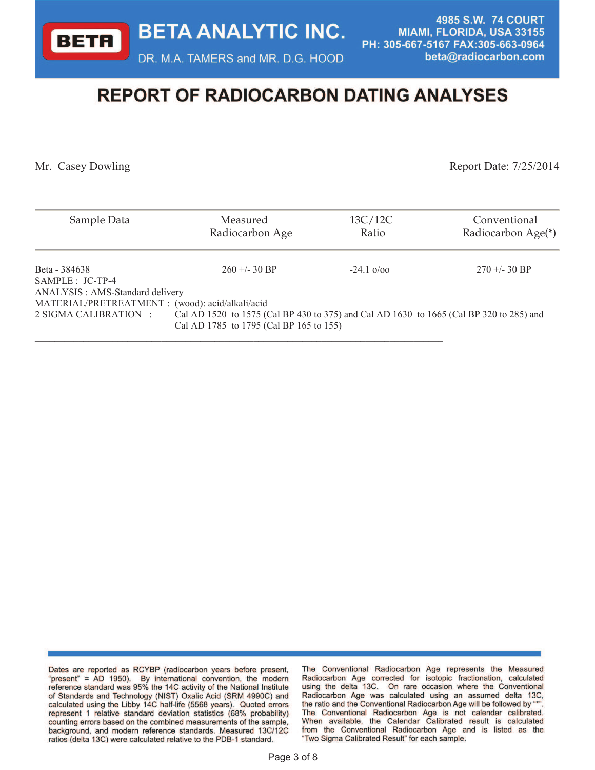DR. M.A. TAMERS and MR. D.G. HOOD

4985 S.W. 74 COURT MIAMI, FLORIDA, USA 33155 PH: 305-667-5167 FAX:305-663-0964 beta@radiocarbon.com

# **REPORT OF RADIOCARBON DATING ANALYSES**

**BETA** 

Mr. Casey Dowling Report Date: 7/25/2014

| Sample Data                                                                                                  | Measured<br>Radiocarbon Age                                                                                                        | 13C/12C<br>Ratio              | Conventional<br>Radiocarbon Age(*) |
|--------------------------------------------------------------------------------------------------------------|------------------------------------------------------------------------------------------------------------------------------------|-------------------------------|------------------------------------|
| Beta - 384638<br>SAMPLE : JC-TP-4                                                                            | $260 + - 30$ BP                                                                                                                    | $-24.1 \frac{\Omega}{\Omega}$ | $270 + -30$ BP                     |
| ANALYSIS: AMS-Standard delivery<br>MATERIAL/PRETREATMENT : (wood): acid/alkali/acid<br>2 SIGMA CALIBRATION : | Cal AD 1520 to 1575 (Cal BP 430 to 375) and Cal AD 1630 to 1665 (Cal BP 320 to 285) and<br>Cal AD 1785 to 1795 (Cal BP 165 to 155) |                               |                                    |

The Conventional Radiocarbon Age represents the Measured Radiocarbon Age corrected for isotopic fractionation, calculated using the delta 13C. On rare occasion where the Conventional Radiocarbon Age was calculated using an assumed delta 13C, the ratio and the Conventional Radiocarbon Age will be followed by "\*" The Conventional Radiocarbon Age is not calendar calibrated. When available, the Calendar Calibrated result is calculated from the Conventional Radiocarbon Age and is listed as the "Two Sigma Calibrated Result" for each sample.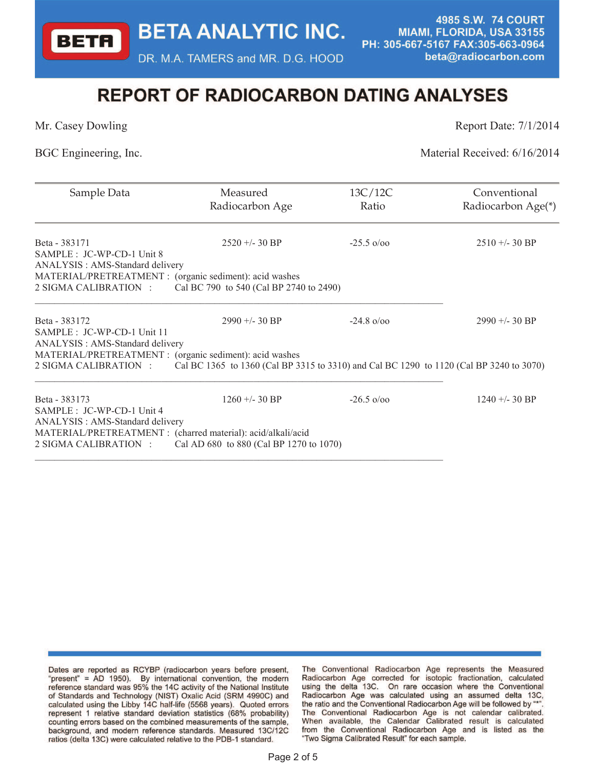DR. M.A. TAMERS and MR. D.G. HOOD

4985 S.W. 74 COURT MIAMI, FLORIDA, USA 33155 PH: 305-667-5167 FAX:305-663-0964 beta@radiocarbon.com

# **REPORT OF RADIOCARBON DATING ANALYSES**

**BETA** 

Mr. Casey Dowling Report Date:  $7/1/2014$ 

BGC Engineering, Inc. Material Received: 6/16/2014

| Sample Data                                                                                                              | Measured<br>Radiocarbon Age                                                             | 13C/12C<br>Ratio       | Conventional<br>Radiocarbon Age(*) |
|--------------------------------------------------------------------------------------------------------------------------|-----------------------------------------------------------------------------------------|------------------------|------------------------------------|
| Beta - 383171<br>SAMPLE : JC-WP-CD-1 Unit 8<br>ANALYSIS: AMS-Standard delivery                                           | $2520 + -30$ BP                                                                         | $-25.5 \text{ o} / 00$ | $2510 + -30$ BP                    |
| MATERIAL/PRETREATMENT : (organic sediment): acid washes<br>2 SIGMA CALIBRATION :                                         | Cal BC 790 to 540 (Cal BP 2740 to 2490)                                                 |                        |                                    |
| Beta - 383172<br>SAMPLE : JC-WP-CD-1 Unit 11<br>ANALYSIS: AMS-Standard delivery                                          | $2990 + -30$ BP                                                                         | $-24.8 \text{ o} / 00$ | $2990 + -30$ BP                    |
| MATERIAL/PRETREATMENT : (organic sediment): acid washes                                                                  |                                                                                         |                        |                                    |
| 2 SIGMA CALIBRATION :                                                                                                    | Cal BC 1365 to 1360 (Cal BP 3315 to 3310) and Cal BC 1290 to 1120 (Cal BP 3240 to 3070) |                        |                                    |
| Beta - 383173<br>SAMPLE : JC-WP-CD-1 Unit 4                                                                              | $1260 + -30$ BP                                                                         | $-26.5 \text{ o} / 00$ | $1240 + -30$ BP                    |
| ANALYSIS: AMS-Standard delivery<br>MATERIAL/PRETREATMENT : (charred material): acid/alkali/acid<br>2 SIGMA CALIBRATION : | Cal AD 680 to 880 (Cal BP 1270 to 1070)                                                 |                        |                                    |

Dates are reported as RCYBP (radiocarbon years before present, "present" = AD 1950). By international convention, the modern reference standard was 95% the 14C activity of the National Institute of Standards and Technology (NIST) Oxalic Acid (SRM 4990C) and calculated using the Libby 14C half-life (5568 years). Quoted errors represent 1 relative standard deviation statistics (68% probability) counting errors based on the combined measurements of the sample, background, and modern reference standards. Measured 13C/12C ratios (delta 13C) were calculated relative to the PDB-1 standard.

The Conventional Radiocarbon Age represents the Measured Radiocarbon Age corrected for isotopic fractionation, calculated using the delta 13C. On rare occasion where the Conventional Radiocarbon Age was calculated using an assumed delta 13C, the ratio and the Conventional Radiocarbon Age will be followed by "\* The Conventional Radiocarbon Age is not calendar calibrated. When available, the Calendar Calibrated result is calculated from the Conventional Radiocarbon Age and is listed as the "Two Sigma Calibrated Result" for each sample.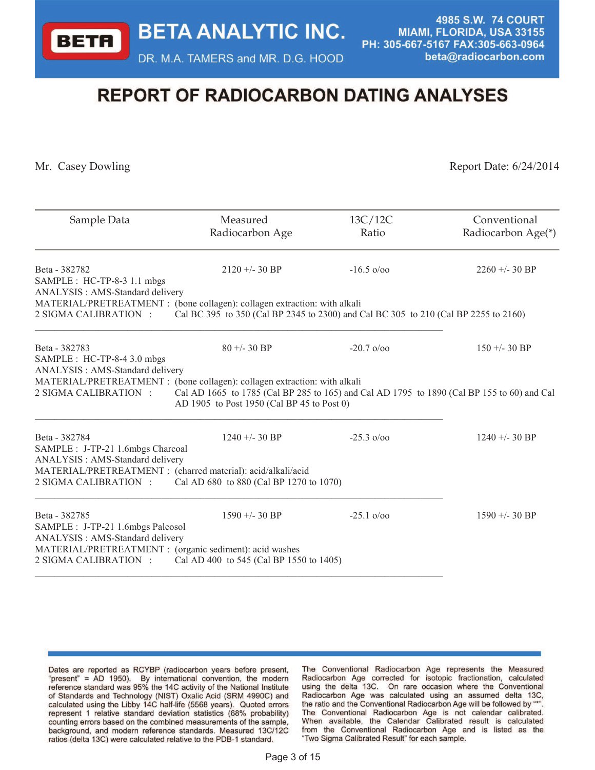DR. M.A. TAMERS and MR. D.G. HOOD

4985 S.W. 74 COURT MIAMI, FLORIDA, USA 33155 PH: 305-667-5167 FAX:305-663-0964 beta@radiocarbon.com

# **REPORT OF RADIOCARBON DATING ANALYSES**

**BETA** 

Mr. Casey Dowling Report Date: 6/24/2014

| Sample Data                                                                                        | Measured<br>Radiocarbon Age                                                                                                              | 13C/12C<br>Ratio              | Conventional<br>Radiocarbon Age(*) |
|----------------------------------------------------------------------------------------------------|------------------------------------------------------------------------------------------------------------------------------------------|-------------------------------|------------------------------------|
| Beta - 382782<br>SAMPLE : HC-TP-8-3 1.1 mbgs<br>ANALYSIS: AMS-Standard delivery                    | $2120 + -30$ BP                                                                                                                          | $-16.5 \text{ o} / 00$        | $2260 + -30$ BP                    |
| MATERIAL/PRETREATMENT : (bone collagen): collagen extraction: with alkali<br>2 SIGMA CALIBRATION : | Cal BC 395 to 350 (Cal BP 2345 to 2300) and Cal BC 305 to 210 (Cal BP 2255 to 2160)                                                      |                               |                                    |
| Beta - 382783<br>SAMPLE : HC-TP-8-4 3.0 mbgs<br>ANALYSIS: AMS-Standard delivery                    | $80 + -30$ BP                                                                                                                            | $-20.7 \frac{\omega}{\omega}$ | $150 + - 30$ BP                    |
| MATERIAL/PRETREATMENT : (bone collagen): collagen extraction: with alkali<br>2 SIGMA CALIBRATION : | Cal AD 1665 to 1785 (Cal BP 285 to 165) and Cal AD 1795 to 1890 (Cal BP 155 to 60) and Cal<br>AD 1905 to Post 1950 (Cal BP 45 to Post 0) |                               |                                    |
| Beta - 382784<br>SAMPLE : J-TP-21 1.6mbgs Charcoal<br>ANALYSIS : AMS-Standard delivery             | $1240 + -30$ BP                                                                                                                          | $-25.3 \text{ o} / 00$        | $1240 + -30$ BP                    |
| MATERIAL/PRETREATMENT : (charred material): acid/alkali/acid<br>2 SIGMA CALIBRATION :              | Cal AD 680 to 880 (Cal BP 1270 to 1070)                                                                                                  |                               |                                    |
| Beta - 382785<br>SAMPLE : J-TP-21 1.6mbgs Paleosol<br>ANALYSIS : AMS-Standard delivery             | $1590 + -30 BP$                                                                                                                          | $-25.1 \text{ o} / 00$        | $1590 + -30$ BP                    |
| MATERIAL/PRETREATMENT : (organic sediment): acid washes<br>2 SIGMA CALIBRATION :                   | Cal AD 400 to 545 (Cal BP 1550 to 1405)                                                                                                  |                               |                                    |

Dates are reported as RCYBP (radiocarbon years before present, "present" = AD 1950). By international convention, the modern reference standard was 95% the 14C activity of the National Institute of Standards and Technology (NIST) Oxalic Acid (SRM 4990C) and calculated using the Libby 14C half-life (5568 years). Quoted errors represent 1 relative standard deviation statistics (68% probability) counting errors based on the combined measurements of the sample, background, and modern reference standards. Measured 13C/12C ratios (delta 13C) were calculated relative to the PDB-1 standard.

The Conventional Radiocarbon Age represents the Measured Radiocarbon Age corrected for isotopic fractionation, calculated using the delta 13C. On rare occasion where the Conventional Radiocarbon Age was calculated using an assumed delta 13C, the ratio and the Conventional Radiocarbon Age will be followed by "\*" The Conventional Radiocarbon Age is not calendar calibrated. When available, the Calendar Calibrated result is calculated from the Conventional Radiocarbon Age and is listed as the "Two Sigma Calibrated Result" for each sample.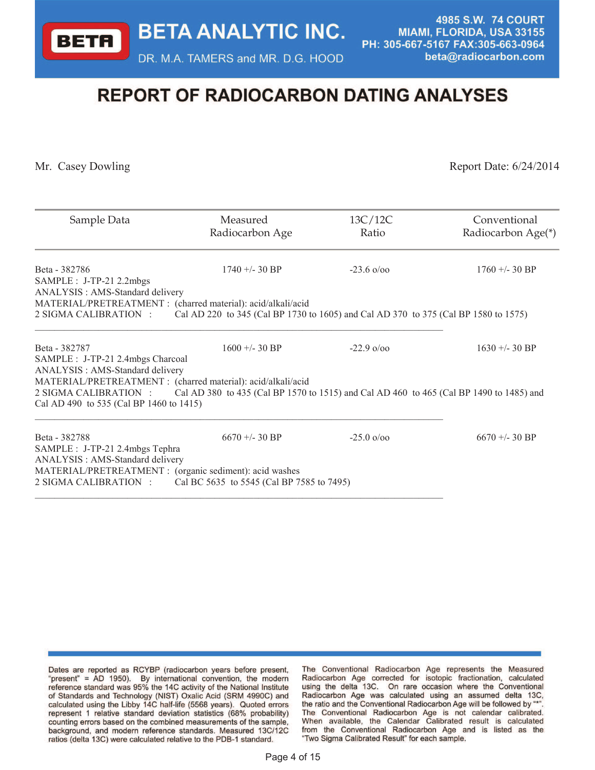DR. M.A. TAMERS and MR. D.G. HOOD

4985 S.W. 74 COURT MIAMI, FLORIDA, USA 33155 PH: 305-667-5167 FAX:305-663-0964 beta@radiocarbon.com

# **REPORT OF RADIOCARBON DATING ANALYSES**

**BETA** 

Mr. Casey Dowling Report Date: 6/24/2014

| Sample Data                                                                                                                                                                                                                                                                                                       | Measured<br>Radiocarbon Age                                                         | 13C/12C<br>Ratio              | Conventional<br>Radiocarbon Age(*) |
|-------------------------------------------------------------------------------------------------------------------------------------------------------------------------------------------------------------------------------------------------------------------------------------------------------------------|-------------------------------------------------------------------------------------|-------------------------------|------------------------------------|
| Beta - 382786<br>SAMPLE : J-TP-21 2.2mbgs<br>ANALYSIS: AMS-Standard delivery                                                                                                                                                                                                                                      | $1740 + -30$ BP                                                                     | $-23.6 \frac{\pi}{9000}$      | $1760 + -30$ BP                    |
| MATERIAL/PRETREATMENT : (charred material): acid/alkali/acid<br>2 SIGMA CALIBRATION :                                                                                                                                                                                                                             | Cal AD 220 to 345 (Cal BP 1730 to 1605) and Cal AD 370 to 375 (Cal BP 1580 to 1575) |                               |                                    |
| Beta - 382787<br>SAMPLE : J-TP-21 2.4mbgs Charcoal<br>ANALYSIS: AMS-Standard delivery<br>MATERIAL/PRETREATMENT : (charred material): acid/alkali/acid<br>2 SIGMA CALIBRATION : Cal AD 380 to 435 (Cal BP 1570 to 1515) and Cal AD 460 to 465 (Cal BP 1490 to 1485) and<br>Cal AD 490 to 535 (Cal BP 1460 to 1415) | $1600 + - 30$ BP                                                                    | $-229000$                     | $1630 + - 30$ BP                   |
| Beta - 382788<br>SAMPLE : J-TP-21 2.4mbgs Tephra<br>ANALYSIS: AMS-Standard delivery<br>MATERIAL/PRETREATMENT : (organic sediment): acid washes<br>2 SIGMA CALIBRATION :                                                                                                                                           | $6670 + -30$ BP<br>Cal BC 5635 to 5545 (Cal BP 7585 to 7495)                        | $-25.0 \frac{\omega}{\omega}$ | $6670 + -30$ BP                    |

Dates are reported as RCYBP (radiocarbon years before present, "present" = AD 1950). By international convention, the modern reference standard was 95% the 14C activity of the National Institute of Standards and Technology (NIST) Oxalic Acid (SRM 4990C) and calculated using the Libby 14C half-life (5568 years). Quoted errors represent 1 relative standard deviation statistics (68% probability) counting errors based on the combined measurements of the sample, background, and modern reference standards. Measured 13C/12C ratios (delta 13C) were calculated relative to the PDB-1 standard.

The Conventional Radiocarbon Age represents the Measured Radiocarbon Age corrected for isotopic fractionation, calculated using the delta 13C. On rare occasion where the Conventional Radiocarbon Age was calculated using an assumed delta 13C, the ratio and the Conventional Radiocarbon Age will be followed by "\*" The Conventional Radiocarbon Age is not calendar calibrated. When available, the Calendar Calibrated result is calculated from the Conventional Radiocarbon Age and is listed as the "Two Sigma Calibrated Result" for each sample.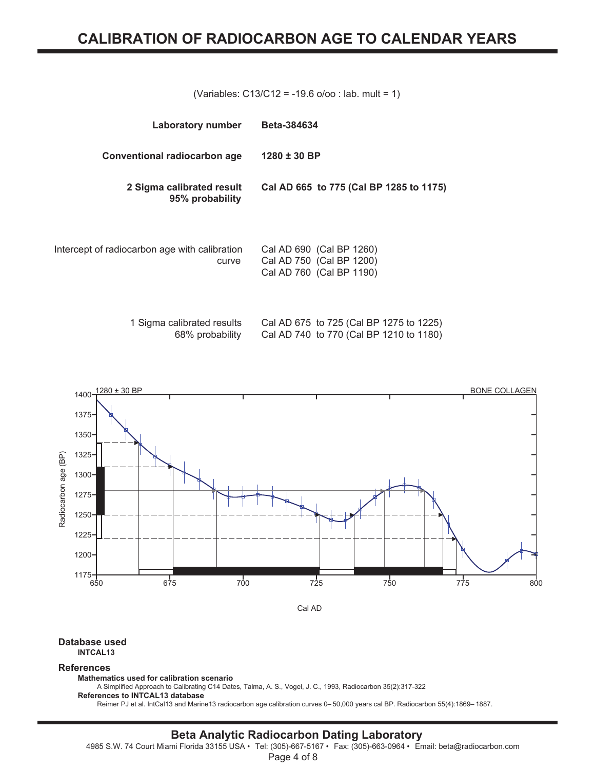(Variables: C13/C12 = -19.6 o/oo : lab. mult = 1)

| <b>Laboratory number</b>                               | <b>Beta-384634</b>                                                               |
|--------------------------------------------------------|----------------------------------------------------------------------------------|
| Conventional radiocarbon age                           | $1280 \pm 30$ BP                                                                 |
| 2 Sigma calibrated result<br>95% probability           | Cal AD 665 to 775 (Cal BP 1285 to 1175)                                          |
| Intercept of radiocarbon age with calibration<br>curve | Cal AD 690 (Cal BP 1260)<br>Cal AD 750 (Cal BP 1200)<br>Cal AD 760 (Cal BP 1190) |

| 1 Sigma calibrated results | Cal AD 675 to 725 (Cal BP 1275 to 1225) |  |  |
|----------------------------|-----------------------------------------|--|--|
| 68% probability            | Cal AD 740 to 770 (Cal BP 1210 to 1180) |  |  |



#### **Database used INTCAL13**

#### **References**

**Mathematics used for calibration scenario**

A Simplified Approach to Calibrating C14 Dates, Talma, A. S., Vogel, J. C., 1993, Radiocarbon 35(2):317-322 **References to INTCAL13 database**

Reimer PJ et al. IntCal13 and Marine13 radiocarbon age calibration curves 0– 50,000 years cal BP. Radiocarbon 55(4):1869– 1887.

# **Beta Analytic Radiocarbon Dating Laboratory**

4985 S.W. 74 Court Miami Florida 33155 USA • Tel: (305)-667-5167 • Fax: (305)-663-0964 • Email: beta@radiocarbon.com

Page 4 of 8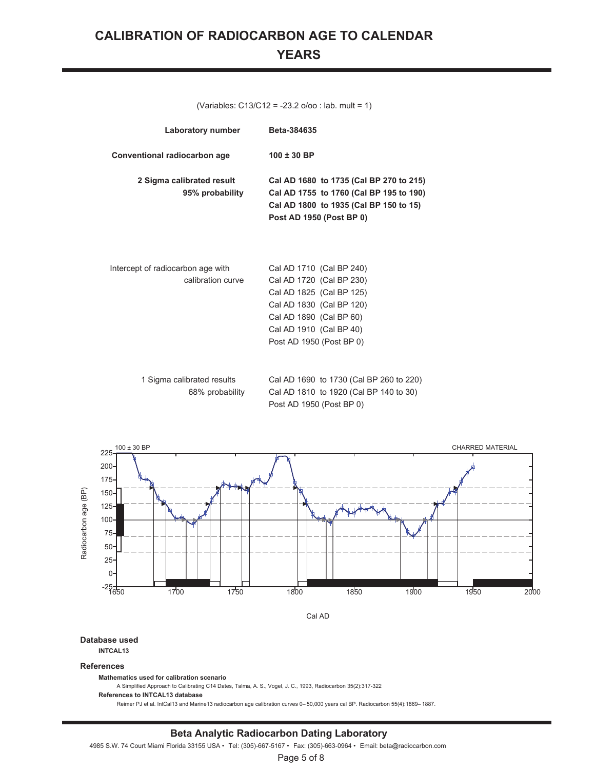# **CALIBRATION OF RADIOCARBON AGE TO CALENDAR YEARS**

| (Variables: $C13/C12 = -23.2$ o/oo : lab. mult = 1)    |                                                                                                                                                                                                |  |
|--------------------------------------------------------|------------------------------------------------------------------------------------------------------------------------------------------------------------------------------------------------|--|
| Laboratory number                                      | <b>Beta-384635</b>                                                                                                                                                                             |  |
| Conventional radiocarbon age                           | $100 \pm 30$ BP                                                                                                                                                                                |  |
| 2 Sigma calibrated result<br>95% probability           | Cal AD 1680 to 1735 (Cal BP 270 to 215)<br>Cal AD 1755 to 1760 (Cal BP 195 to 190)<br>Cal AD 1800 to 1935 (Cal BP 150 to 15)<br>Post AD 1950 (Post BP 0)                                       |  |
| Intercept of radiocarbon age with<br>calibration curve | Cal AD 1710 (Cal BP 240)<br>Cal AD 1720 (Cal BP 230)<br>Cal AD 1825 (Cal BP 125)<br>Cal AD 1830 (Cal BP 120)<br>Cal AD 1890 (Cal BP 60)<br>Cal AD 1910 (Cal BP 40)<br>Post AD 1950 (Post BP 0) |  |
| 1 Sigma calibrated results<br>68% probability          | Cal AD 1690 to 1730 (Cal BP 260 to 220)<br>Cal AD 1810 to 1920 (Cal BP 140 to 30)<br>Post AD 1950 (Post BP 0)                                                                                  |  |



#### **Database used**

**INTCAL13**

#### **References**

**Mathematics used for calibration scenario**

A Simplified Approach to Calibrating C14 Dates, Talma, A. S., Vogel, J. C., 1993, Radiocarbon 35(2):317-322

**References to INTCAL13 database**

Reimer PJ et al. IntCal13 and Marine13 radiocarbon age calibration curves 0– 50,000 years cal BP. Radiocarbon 55(4):1869– 1887.

#### **Beta Analytic Radiocarbon Dating Laboratory**

4985 S.W. 74 Court Miami Florida 33155 USA • Tel: (305)-667-5167 • Fax: (305)-663-0964 • Email: beta@radiocarbon.com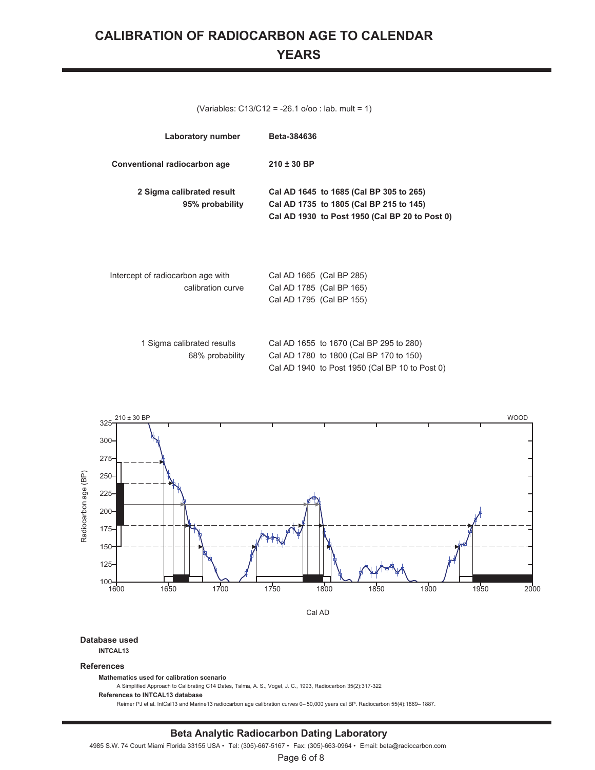# **CALIBRATION OF RADIOCARBON AGE TO CALENDAR YEARS**

(Variables: C13/C12 = -26.1 o/oo : lab. mult = 1)

| Laboratory number                                      | <b>Beta-384636</b>                                                                                                                   |
|--------------------------------------------------------|--------------------------------------------------------------------------------------------------------------------------------------|
| Conventional radiocarbon age                           | $210 \pm 30$ BP                                                                                                                      |
| 2 Sigma calibrated result<br>95% probability           | Cal AD 1645 to 1685 (Cal BP 305 to 265)<br>Cal AD 1735 to 1805 (Cal BP 215 to 145)<br>Cal AD 1930 to Post 1950 (Cal BP 20 to Post 0) |
| Intercept of radiocarbon age with<br>calibration curve | Cal AD 1665 (Cal BP 285)<br>Cal AD 1785 (Cal BP 165)<br>Cal AD 1795 (Cal BP 155)                                                     |
| 1 Sigma calibrated results<br>68% probability          | Cal AD 1655 to 1670 (Cal BP 295 to 280)<br>Cal AD 1780 to 1800 (Cal BP 170 to 150)<br>Cal AD 1940 to Post 1950 (Cal BP 10 to Post 0) |



#### **Database used**

**INTCAL13**

#### **References**

**Mathematics used for calibration scenario**

A Simplified Approach to Calibrating C14 Dates, Talma, A. S., Vogel, J. C., 1993, Radiocarbon 35(2):317-322

**References to INTCAL13 database**

Reimer PJ et al. IntCal13 and Marine13 radiocarbon age calibration curves 0– 50,000 years cal BP. Radiocarbon 55(4):1869– 1887.

#### **Beta Analytic Radiocarbon Dating Laboratory**

4985 S.W. 74 Court Miami Florida 33155 USA • Tel: (305)-667-5167 • Fax: (305)-663-0964 • Email: beta@radiocarbon.com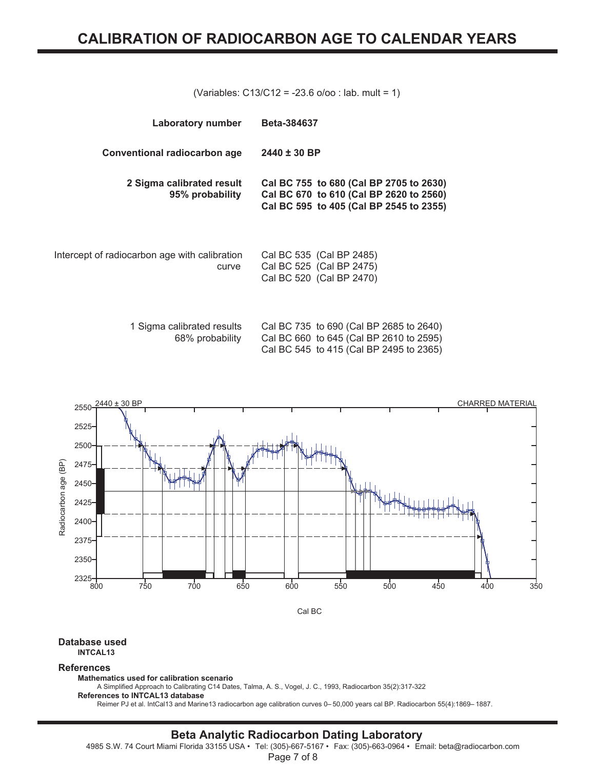(Variables: C13/C12 = -23.6 o/oo : lab. mult = 1)

| <b>Laboratory number</b>                               | <b>Beta-384637</b>                                                                                                            |
|--------------------------------------------------------|-------------------------------------------------------------------------------------------------------------------------------|
| Conventional radiocarbon age                           | $2440 \pm 30$ BP                                                                                                              |
| 2 Sigma calibrated result<br>95% probability           | Cal BC 755 to 680 (Cal BP 2705 to 2630)<br>Cal BC 670 to 610 (Cal BP 2620 to 2560)<br>Cal BC 595 to 405 (Cal BP 2545 to 2355) |
| Intercept of radiocarbon age with calibration<br>curve | Cal BC 535 (Cal BP 2485)<br>Cal BC 525 (Cal BP 2475)<br>Cal BC 520 (Cal BP 2470)                                              |
| 1 Sigma calibrated results<br>68% probability          | Cal BC 735 to 690 (Cal BP 2685 to 2640)<br>Cal BC 660 to 645 (Cal BP 2610 to 2595)<br>Cal BC 545 to 415 (Cal BP 2495 to 2365) |



#### **Database used INTCAL13**

#### **References**

**Mathematics used for calibration scenario**

A Simplified Approach to Calibrating C14 Dates, Talma, A. S., Vogel, J. C., 1993, Radiocarbon 35(2):317-322 **References to INTCAL13 database**

Reimer PJ et al. IntCal13 and Marine13 radiocarbon age calibration curves 0– 50,000 years cal BP. Radiocarbon 55(4):1869– 1887.

# **Beta Analytic Radiocarbon Dating Laboratory**

4985 S.W. 74 Court Miami Florida 33155 USA • Tel: (305)-667-5167 • Fax: (305)-663-0964 • Email: beta@radiocarbon.com

Page 7 of 8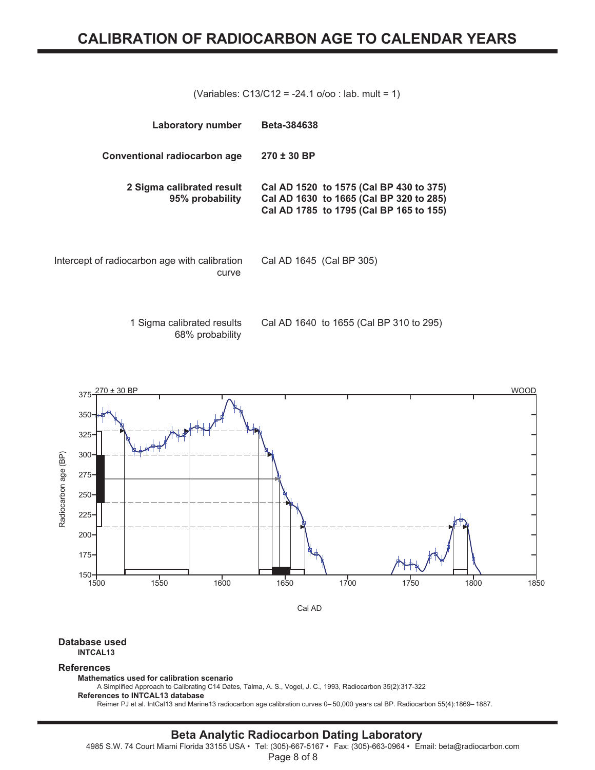(Variables: C13/C12 = -24.1 o/oo : lab. mult = 1)

| Laboratory number                                      | <b>Beta-384638</b>                                                                                                            |
|--------------------------------------------------------|-------------------------------------------------------------------------------------------------------------------------------|
| <b>Conventional radiocarbon age</b>                    | $270 \pm 30$ BP                                                                                                               |
| 2 Sigma calibrated result<br>95% probability           | Cal AD 1520 to 1575 (Cal BP 430 to 375)<br>Cal AD 1630 to 1665 (Cal BP 320 to 285)<br>Cal AD 1785 to 1795 (Cal BP 165 to 155) |
| Intercept of radiocarbon age with calibration<br>curve | Cal AD 1645 (Cal BP 305)                                                                                                      |
|                                                        |                                                                                                                               |

1 Sigma calibrated results 68% probability Cal AD 1640 to 1655 (Cal BP 310 to 295)



#### **Database used INTCAL13**

#### **References**

**Mathematics used for calibration scenario**

A Simplified Approach to Calibrating C14 Dates, Talma, A. S., Vogel, J. C., 1993, Radiocarbon 35(2):317-322 **References to INTCAL13 database**

Reimer PJ et al. IntCal13 and Marine13 radiocarbon age calibration curves 0– 50,000 years cal BP. Radiocarbon 55(4):1869– 1887.

## **Beta Analytic Radiocarbon Dating Laboratory**

4985 S.W. 74 Court Miami Florida 33155 USA • Tel: (305)-667-5167 • Fax: (305)-663-0964 • Email: beta@radiocarbon.com

Page 8 of 8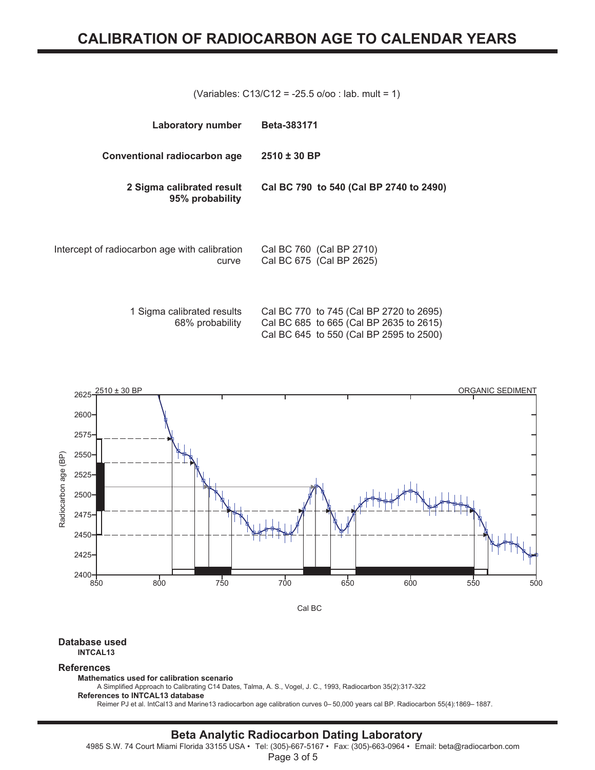(Variables: C13/C12 = -25.5 o/oo : lab. mult = 1)

| Laboratory number                                      | Beta-383171                                          |
|--------------------------------------------------------|------------------------------------------------------|
| <b>Conventional radiocarbon age</b>                    | $2510 \pm 30$ BP                                     |
| 2 Sigma calibrated result<br>95% probability           | Cal BC 790 to 540 (Cal BP 2740 to 2490)              |
| Intercept of radiocarbon age with calibration<br>curve | Cal BC 760 (Cal BP 2710)<br>Cal BC 675 (Cal BP 2625) |

| 1 Sigma calibrated results | Cal BC 770 to 745 (Cal BP 2720 to 2695) |
|----------------------------|-----------------------------------------|
| 68% probability            | Cal BC 685 to 665 (Cal BP 2635 to 2615) |
|                            | Cal BC 645 to 550 (Cal BP 2595 to 2500) |
|                            |                                         |



#### **Database used INTCAL13**

#### **References**

**Mathematics used for calibration scenario**

A Simplified Approach to Calibrating C14 Dates, Talma, A. S., Vogel, J. C., 1993, Radiocarbon 35(2):317-322 **References to INTCAL13 database**

Reimer PJ et al. IntCal13 and Marine13 radiocarbon age calibration curves 0– 50,000 years cal BP. Radiocarbon 55(4):1869– 1887.

# **Beta Analytic Radiocarbon Dating Laboratory**

4985 S.W. 74 Court Miami Florida 33155 USA • Tel: (305)-667-5167 • Fax: (305)-663-0964 • Email: beta@radiocarbon.com

Page 3 of 5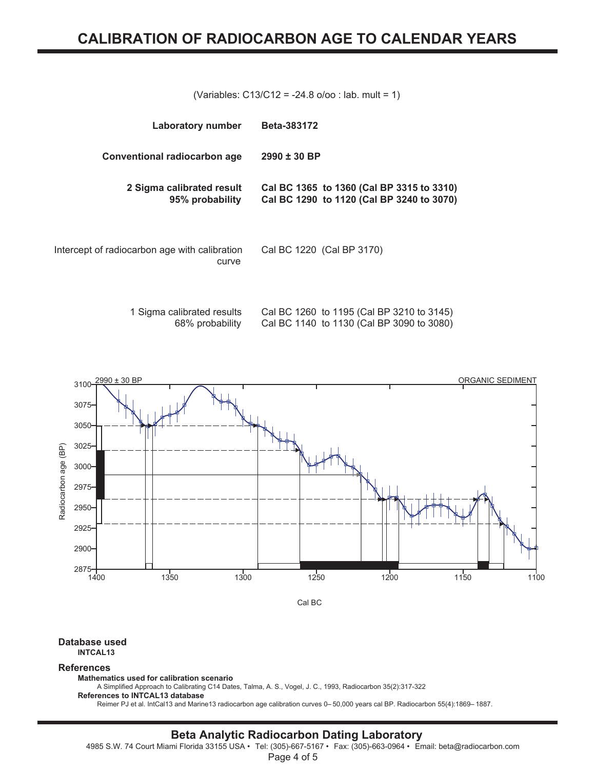(Variables: C13/C12 = -24.8 o/oo : lab. mult = 1)

| Laboratory number                                      | <b>Beta-383172</b>                                                                     |
|--------------------------------------------------------|----------------------------------------------------------------------------------------|
| Conventional radiocarbon age                           | $2990 \pm 30$ BP                                                                       |
| 2 Sigma calibrated result<br>95% probability           | Cal BC 1365 to 1360 (Cal BP 3315 to 3310)<br>Cal BC 1290 to 1120 (Cal BP 3240 to 3070) |
| Intercept of radiocarbon age with calibration<br>curve | Cal BC 1220 (Cal BP 3170)                                                              |

1 Sigma calibrated results 68% probability Cal BC 1260 to 1195 (Cal BP 3210 to 3145) Cal BC 1140 to 1130 (Cal BP 3090 to 3080)



**Database used INTCAL13**

#### **References**

**Mathematics used for calibration scenario**

A Simplified Approach to Calibrating C14 Dates, Talma, A. S., Vogel, J. C., 1993, Radiocarbon 35(2):317-322 **References to INTCAL13 database**

Reimer PJ et al. IntCal13 and Marine13 radiocarbon age calibration curves 0– 50,000 years cal BP. Radiocarbon 55(4):1869– 1887.

### **Beta Analytic Radiocarbon Dating Laboratory**

4985 S.W. 74 Court Miami Florida 33155 USA • Tel: (305)-667-5167 • Fax: (305)-663-0964 • Email: beta@radiocarbon.com

Page 4 of 5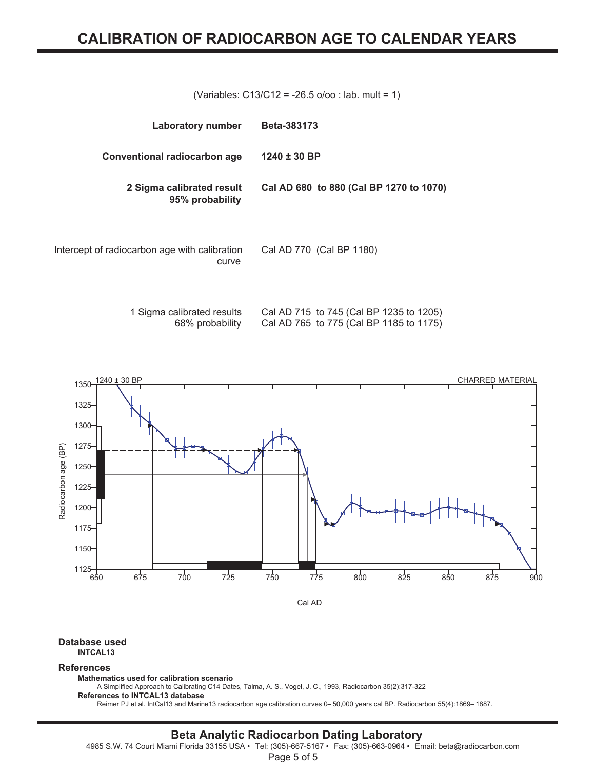(Variables: C13/C12 = -26.5 o/oo : lab. mult = 1)

| Laboratory number                                      | <b>Beta-383173</b>                      |
|--------------------------------------------------------|-----------------------------------------|
| <b>Conventional radiocarbon age</b>                    | $1240 \pm 30$ BP                        |
| 2 Sigma calibrated result<br>95% probability           | Cal AD 680 to 880 (Cal BP 1270 to 1070) |
| Intercept of radiocarbon age with calibration<br>curve | Cal AD 770 (Cal BP 1180)                |

1 Sigma calibrated results 68% probability Cal AD 715 to 745 (Cal BP 1235 to 1205) Cal AD 765 to 775 (Cal BP 1185 to 1175)



**Database used INTCAL13**

#### **References**

**Mathematics used for calibration scenario**

A Simplified Approach to Calibrating C14 Dates, Talma, A. S., Vogel, J. C., 1993, Radiocarbon 35(2):317-322 **References to INTCAL13 database**

Reimer PJ et al. IntCal13 and Marine13 radiocarbon age calibration curves 0– 50,000 years cal BP. Radiocarbon 55(4):1869– 1887.

## **Beta Analytic Radiocarbon Dating Laboratory**

4985 S.W. 74 Court Miami Florida 33155 USA • Tel: (305)-667-5167 • Fax: (305)-663-0964 • Email: beta@radiocarbon.com

Page 5 of 5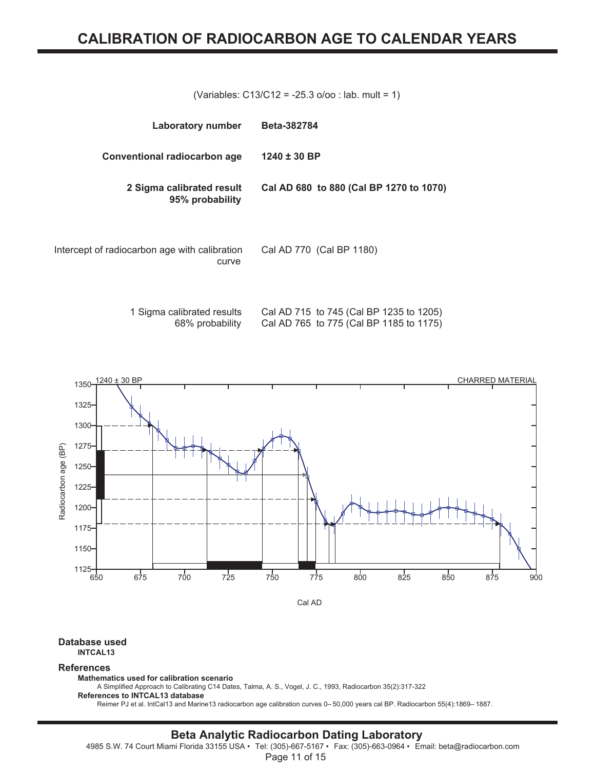(Variables: C13/C12 = -25.3 o/oo : lab. mult = 1)

| Laboratory number                                      | Beta-382784                             |
|--------------------------------------------------------|-----------------------------------------|
| Conventional radiocarbon age                           | $1240 \pm 30$ BP                        |
| 2 Sigma calibrated result<br>95% probability           | Cal AD 680 to 880 (Cal BP 1270 to 1070) |
| Intercept of radiocarbon age with calibration<br>curve | Cal AD 770 (Cal BP 1180)                |

1 Sigma calibrated results 68% probability Cal AD 715 to 745 (Cal BP 1235 to 1205) Cal AD 765 to 775 (Cal BP 1185 to 1175)



**Database used INTCAL13**

#### **References**

**Mathematics used for calibration scenario**

A Simplified Approach to Calibrating C14 Dates, Talma, A. S., Vogel, J. C., 1993, Radiocarbon 35(2):317-322 **References to INTCAL13 database**

Reimer PJ et al. IntCal13 and Marine13 radiocarbon age calibration curves 0– 50,000 years cal BP. Radiocarbon 55(4):1869– 1887.

### **Beta Analytic Radiocarbon Dating Laboratory**

4985 S.W. 74 Court Miami Florida 33155 USA • Tel: (305)-667-5167 • Fax: (305)-663-0964 • Email: beta@radiocarbon.com

Page 11 of 15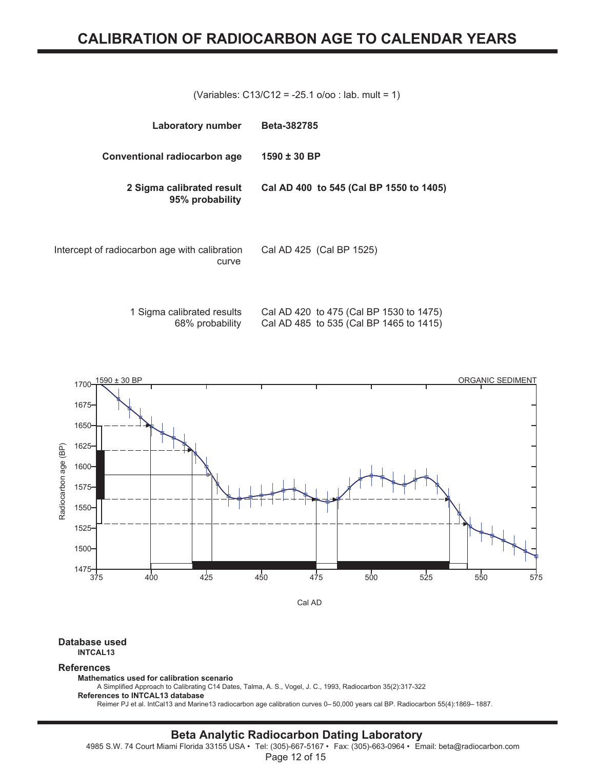(Variables: C13/C12 = -25.1 o/oo : lab. mult = 1)

| Laboratory number                                      | Beta-382785                             |
|--------------------------------------------------------|-----------------------------------------|
| <b>Conventional radiocarbon age</b>                    | $1590 \pm 30$ BP                        |
| 2 Sigma calibrated result<br>95% probability           | Cal AD 400 to 545 (Cal BP 1550 to 1405) |
| Intercept of radiocarbon age with calibration<br>curve | Cal AD 425 (Cal BP 1525)                |

1 Sigma calibrated results 68% probability Cal AD 420 to 475 (Cal BP 1530 to 1475) Cal AD 485 to 535 (Cal BP 1465 to 1415)



**Database used INTCAL13**

#### **References**

**Mathematics used for calibration scenario**

A Simplified Approach to Calibrating C14 Dates, Talma, A. S., Vogel, J. C., 1993, Radiocarbon 35(2):317-322 **References to INTCAL13 database**

Reimer PJ et al. IntCal13 and Marine13 radiocarbon age calibration curves 0– 50,000 years cal BP. Radiocarbon 55(4):1869– 1887.

### **Beta Analytic Radiocarbon Dating Laboratory**

4985 S.W. 74 Court Miami Florida 33155 USA • Tel: (305)-667-5167 • Fax: (305)-663-0964 • Email: beta@radiocarbon.com

Page 12 of 15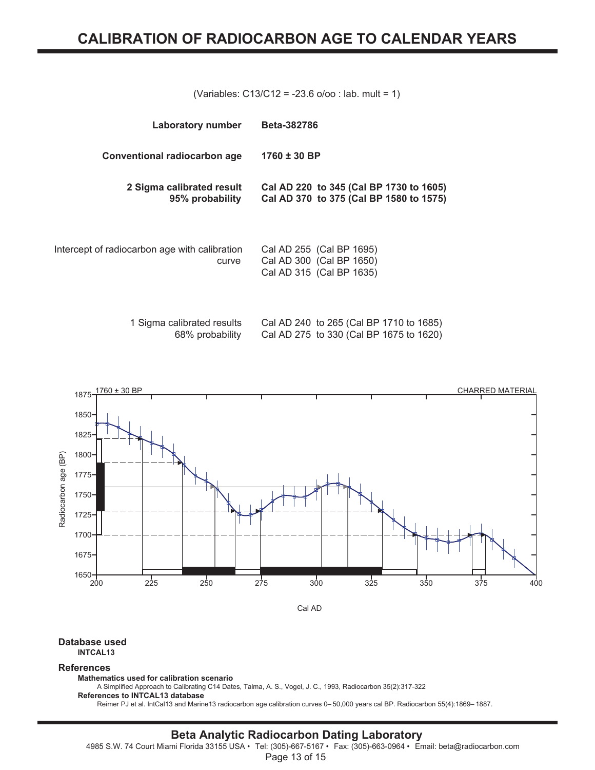(Variables: C13/C12 = -23.6 o/oo : lab. mult = 1)

| <b>Laboratory number</b>                               | Beta-382786                                                                        |
|--------------------------------------------------------|------------------------------------------------------------------------------------|
| Conventional radiocarbon age                           | $1760 \pm 30$ BP                                                                   |
| 2 Sigma calibrated result<br>95% probability           | Cal AD 220 to 345 (Cal BP 1730 to 1605)<br>Cal AD 370 to 375 (Cal BP 1580 to 1575) |
| Intercept of radiocarbon age with calibration<br>curve | Cal AD 255 (Cal BP 1695)<br>Cal AD 300 (Cal BP 1650)<br>Cal AD 315 (Cal BP 1635)   |

| 1 Sigma calibrated results | Cal AD 240 to 265 (Cal BP 1710 to 1685) |  |
|----------------------------|-----------------------------------------|--|
| 68% probability            | Cal AD 275 to 330 (Cal BP 1675 to 1620) |  |



#### **Database used INTCAL13**

#### **References**

**Mathematics used for calibration scenario**

A Simplified Approach to Calibrating C14 Dates, Talma, A. S., Vogel, J. C., 1993, Radiocarbon 35(2):317-322 **References to INTCAL13 database**

Reimer PJ et al. IntCal13 and Marine13 radiocarbon age calibration curves 0– 50,000 years cal BP. Radiocarbon 55(4):1869– 1887.

# **Beta Analytic Radiocarbon Dating Laboratory**

4985 S.W. 74 Court Miami Florida 33155 USA • Tel: (305)-667-5167 • Fax: (305)-663-0964 • Email: beta@radiocarbon.com

Page 13 of 15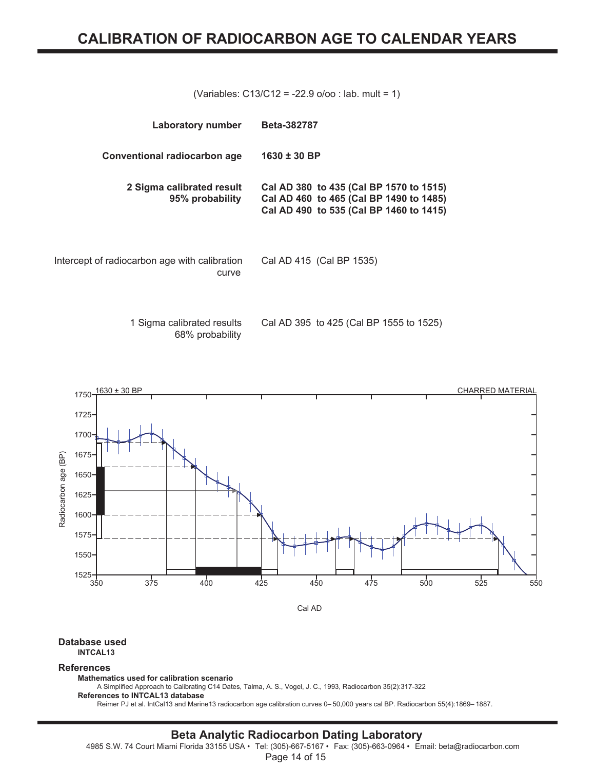(Variables: C13/C12 = -22.9 o/oo : lab. mult = 1)

| Laboratory number                                      | <b>Beta-382787</b>                                                                                                            |
|--------------------------------------------------------|-------------------------------------------------------------------------------------------------------------------------------|
| Conventional radiocarbon age                           | $1630 \pm 30$ BP                                                                                                              |
| 2 Sigma calibrated result<br>95% probability           | Cal AD 380 to 435 (Cal BP 1570 to 1515)<br>Cal AD 460 to 465 (Cal BP 1490 to 1485)<br>Cal AD 490 to 535 (Cal BP 1460 to 1415) |
| Intercept of radiocarbon age with calibration<br>curve | Cal AD 415 (Cal BP 1535)                                                                                                      |

1 Sigma calibrated results 68% probability Cal AD 395 to 425 (Cal BP 1555 to 1525)



#### **Database used INTCAL13**

#### **References**

**Mathematics used for calibration scenario**

A Simplified Approach to Calibrating C14 Dates, Talma, A. S., Vogel, J. C., 1993, Radiocarbon 35(2):317-322 **References to INTCAL13 database**

Reimer PJ et al. IntCal13 and Marine13 radiocarbon age calibration curves 0– 50,000 years cal BP. Radiocarbon 55(4):1869– 1887.

## **Beta Analytic Radiocarbon Dating Laboratory**

4985 S.W. 74 Court Miami Florida 33155 USA • Tel: (305)-667-5167 • Fax: (305)-663-0964 • Email: beta@radiocarbon.com

Page 14 of 15